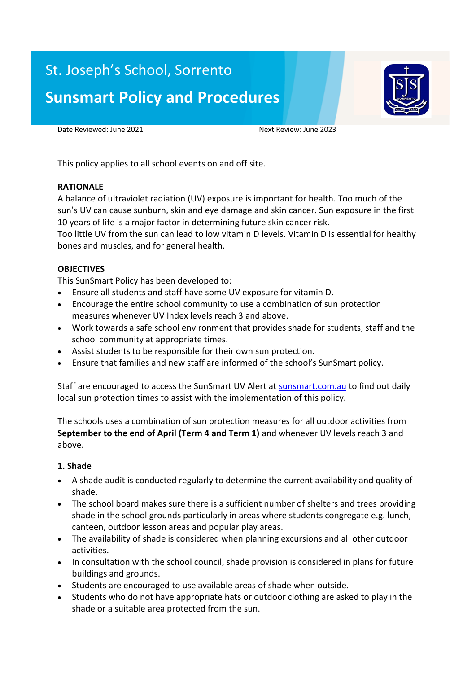# St. Joseph's School, Sorrento **Sunsmart Policy and Procedures**



Date Reviewed: June 2021 Next Review: June 2023

This policy applies to all school events on and off site.

#### **RATIONALE**

A balance of ultraviolet radiation (UV) exposure is important for health. Too much of the sun's UV can cause sunburn, skin and eye damage and skin cancer. Sun exposure in the first 10 years of life is a major factor in determining future skin cancer risk.

Too little UV from the sun can lead to low vitamin D levels. Vitamin D is essential for healthy bones and muscles, and for general health.

#### **OBJECTIVES**

This SunSmart Policy has been developed to:

- Ensure all students and staff have some UV exposure for vitamin D.
- Encourage the entire school community to use a combination of sun protection measures whenever UV Index levels reach 3 and above.
- Work towards a safe school environment that provides shade for students, staff and the school community at appropriate times.
- Assist students to be responsible for their own sun protection.
- Ensure that families and new staff are informed of the school's SunSmart policy.

Staff are encouraged to access the SunSmart UV Alert at sunsmart.com.au to find out daily local sun protection times to assist with the implementation of this policy.

The schools uses a combination of sun protection measures for all outdoor activities from **September to the end of April (Term 4 and Term 1)** and whenever UV levels reach 3 and above.

## **1. Shade**

- A shade audit is conducted regularly to determine the current availability and quality of shade.
- The school board makes sure there is a sufficient number of shelters and trees providing shade in the school grounds particularly in areas where students congregate e.g. lunch, canteen, outdoor lesson areas and popular play areas.
- The availability of shade is considered when planning excursions and all other outdoor activities.
- In consultation with the school council, shade provision is considered in plans for future buildings and grounds.
- Students are encouraged to use available areas of shade when outside.
- Students who do not have appropriate hats or outdoor clothing are asked to play in the shade or a suitable area protected from the sun.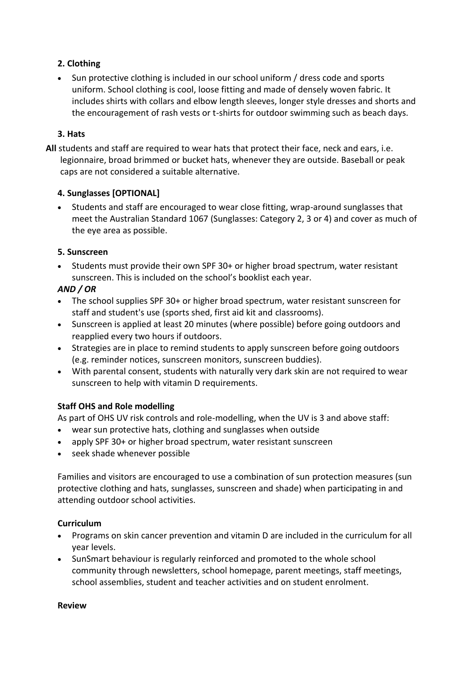# **2. Clothing**

 Sun protective clothing is included in our school uniform / dress code and sports uniform. School clothing is cool, loose fitting and made of densely woven fabric. It includes shirts with collars and elbow length sleeves, longer style dresses and shorts and the encouragement of rash vests or t-shirts for outdoor swimming such as beach days.

## **3. Hats**

**All** students and staff are required to wear hats that protect their face, neck and ears, i.e. legionnaire, broad brimmed or bucket hats, whenever they are outside. Baseball or peak caps are not considered a suitable alternative.

## **4. Sunglasses [OPTIONAL]**

 Students and staff are encouraged to wear close fitting, wrap-around sunglasses that meet the Australian Standard 1067 (Sunglasses: Category 2, 3 or 4) and cover as much of the eye area as possible.

# **5. Sunscreen**

 Students must provide their own SPF 30+ or higher broad spectrum, water resistant sunscreen. This is included on the school's booklist each year.

# *AND / OR*

- The school supplies SPF 30+ or higher broad spectrum, water resistant sunscreen for staff and student's use (sports shed, first aid kit and classrooms).
- Sunscreen is applied at least 20 minutes (where possible) before going outdoors and reapplied every two hours if outdoors.
- Strategies are in place to remind students to apply sunscreen before going outdoors (e.g. reminder notices, sunscreen monitors, sunscreen buddies).
- With parental consent, students with naturally very dark skin are not required to wear sunscreen to help with vitamin D requirements.

# **Staff OHS and Role modelling**

As part of OHS UV risk controls and role-modelling, when the UV is 3 and above staff:

- wear sun protective hats, clothing and sunglasses when outside
- apply SPF 30+ or higher broad spectrum, water resistant sunscreen
- seek shade whenever possible

Families and visitors are encouraged to use a combination of sun protection measures (sun protective clothing and hats, sunglasses, sunscreen and shade) when participating in and attending outdoor school activities.

## **Curriculum**

- Programs on skin cancer prevention and vitamin D are included in the curriculum for all year levels.
- SunSmart behaviour is regularly reinforced and promoted to the whole school community through newsletters, school homepage, parent meetings, staff meetings, school assemblies, student and teacher activities and on student enrolment.

#### **Review**